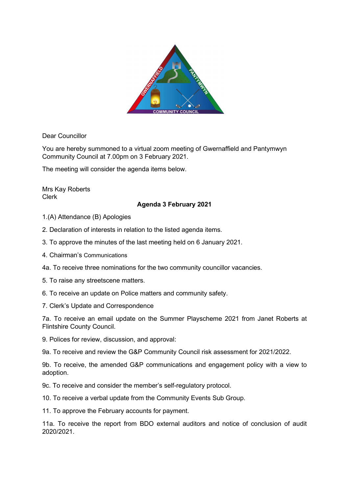

Dear Councillor

You are hereby summoned to a virtual zoom meeting of Gwernaffield and Pantymwyn Community Council at 7.00pm on 3 February 2021.

The meeting will consider the agenda items below.

Mrs Kay Roberts Clerk

## Agenda 3 February 2021

- 1.(A) Attendance (B) Apologies
- 2. Declaration of interests in relation to the listed agenda items.
- 3. To approve the minutes of the last meeting held on 6 January 2021.
- 4. Chairman's Communications
- 4a. To receive three nominations for the two community councillor vacancies.
- 5. To raise any streetscene matters.
- 6. To receive an update on Police matters and community safety.
- 7. Clerk's Update and Correspondence

7a. To receive an email update on the Summer Playscheme 2021 from Janet Roberts at Flintshire County Council.

9. Polices for review, discussion, and approval:

9a. To receive and review the G&P Community Council risk assessment for 2021/2022.

9b. To receive, the amended G&P communications and engagement policy with a view to adoption.

9c. To receive and consider the member's self-regulatory protocol.

10. To receive a verbal update from the Community Events Sub Group.

11. To approve the February accounts for payment.

11a. To receive the report from BDO external auditors and notice of conclusion of audit 2020/2021.